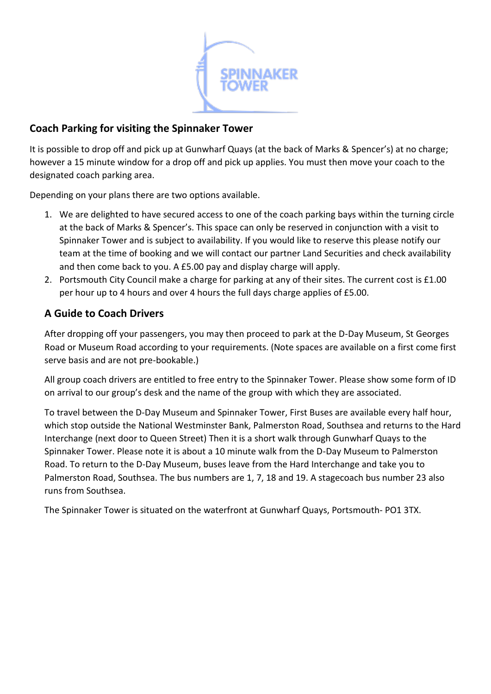

## **Coach Parking for visiting the Spinnaker Tower**

It is possible to drop off and pick up at Gunwharf Quays (at the back of Marks & Spencer's) at no charge; however a 15 minute window for a drop off and pick up applies. You must then move your coach to the designated coach parking area.

Depending on your plans there are two options available.

- 1. We are delighted to have secured access to one of the coach parking bays within the turning circle at the back of Marks & Spencer's. This space can only be reserved in conjunction with a visit to Spinnaker Tower and is subject to availability. If you would like to reserve this please notify our team at the time of booking and we will contact our partner Land Securities and check availability and then come back to you. A £5.00 pay and display charge will apply.
- 2. Portsmouth City Council make a charge for parking at any of their sites. The current cost is £1.00 per hour up to 4 hours and over 4 hours the full days charge applies of £5.00.

## **A Guide to Coach Drivers**

After dropping off your passengers, you may then proceed to park at the D-Day Museum, St Georges Road or Museum Road according to your requirements. (Note spaces are available on a first come first serve basis and are not pre-bookable.)

All group coach drivers are entitled to free entry to the Spinnaker Tower. Please show some form of ID on arrival to our group's desk and the name of the group with which they are associated.

To travel between the D-Day Museum and Spinnaker Tower, First Buses are available every half hour, which stop outside the National Westminster Bank, Palmerston Road, Southsea and returns to the Hard Interchange (next door to Queen Street) Then it is a short walk through Gunwharf Quays to the Spinnaker Tower. Please note it is about a 10 minute walk from the D-Day Museum to Palmerston Road. To return to the D-Day Museum, buses leave from the Hard Interchange and take you to Palmerston Road, Southsea. The bus numbers are 1, 7, 18 and 19. A stagecoach bus number 23 also runs from Southsea.

The Spinnaker Tower is situated on the waterfront at Gunwharf Quays, Portsmouth- PO1 3TX.